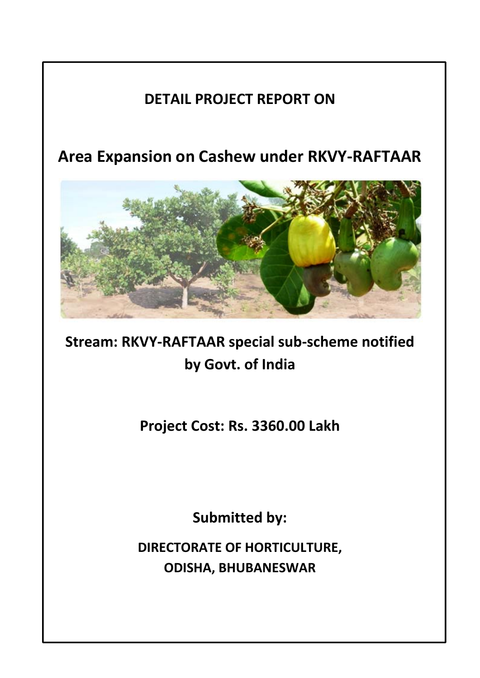# **DETAIL PROJECT REPORT ON**

**Area Expansion on Cashew under RKVY‐RAFTAAR**



**Stream: RKVY‐RAFTAAR special sub‐scheme notified by Govt. of India** 

**Project Cost: Rs. 3360.00 Lakh**

**Submitted by:**

**DIRECTORATE OF HORTICULTURE, ODISHA, BHUBANESWAR**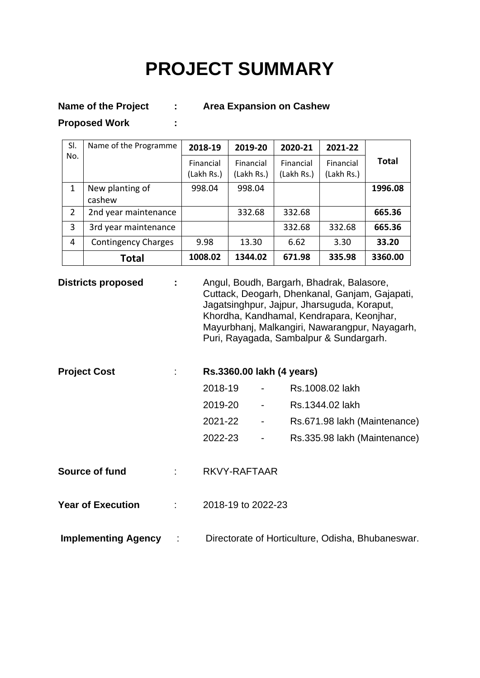# **PROJECT SUMMARY**

Name of the Project : Area Expansion on Cashew

**Proposed Work :** 

| SI.            | Name of the Programme      | 2018-19                 | 2019-20                 | 2020-21                 | 2021-22                 |              |  |
|----------------|----------------------------|-------------------------|-------------------------|-------------------------|-------------------------|--------------|--|
| No.            |                            | Financial<br>(Lakh Rs.) | Financial<br>(Lakh Rs.) | Financial<br>(Lakh Rs.) | Financial<br>(Lakh Rs.) | <b>Total</b> |  |
| 1              | New planting of            | 998.04                  | 998.04                  |                         |                         | 1996.08      |  |
|                | cashew                     |                         |                         |                         |                         |              |  |
| $\overline{2}$ | 2nd year maintenance       |                         | 332.68                  | 332.68                  |                         | 665.36       |  |
| 3              | 3rd year maintenance       |                         |                         | 332.68                  | 332.68                  | 665.36       |  |
| 4              | <b>Contingency Charges</b> | 9.98                    | 13.30                   | 6.62                    | 3.30                    | 33.20        |  |
|                | Total                      | 1008.02                 | 1344.02                 | 671.98                  | 335.98                  | 3360.00      |  |

**Districts proposed : Angul, Boudh, Bargarh, Bhadrak, Balasore, Proposed 3.13.** Cuttack, Deogarh, Dhenkanal, Ganjam, Gajapati, Jagatsinghpur, Jajpur, Jharsuguda, Koraput, Khordha, Kandhamal, Kendrapara, Keonjhar, Mayurbhanj, Malkangiri, Nawarangpur, Nayagarh, Puri, Rayagada, Sambalpur & Sundargarh.

| <b>Project Cost</b>      | Rs.3360.00 lakh (4 years) |                              |                              |  |  |
|--------------------------|---------------------------|------------------------------|------------------------------|--|--|
|                          | 2018-19                   | $\qquad \qquad \blacksquare$ | Rs.1008.02 lakh              |  |  |
|                          | 2019-20                   | $\qquad \qquad \blacksquare$ | Rs.1344.02 lakh              |  |  |
|                          | 2021-22                   |                              | Rs.671.98 lakh (Maintenance) |  |  |
|                          | 2022-23                   | $\qquad \qquad \blacksquare$ | Rs.335.98 lakh (Maintenance) |  |  |
| Source of fund           | RKVY-RAFTAAR              |                              |                              |  |  |
| <b>Year of Execution</b> | 2018-19 to 2022-23        |                              |                              |  |  |

**Implementing Agency** : Directorate of Horticulture, Odisha, Bhubaneswar.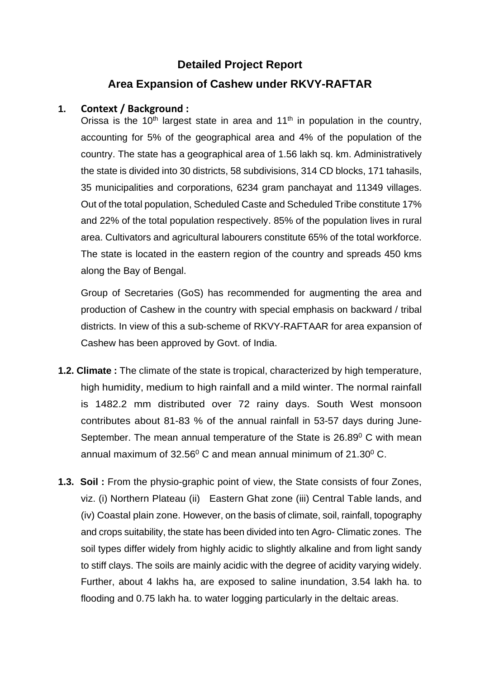# **Detailed Project Report Area Expansion of Cashew under RKVY-RAFTAR**

### **1. Context / Background :**

Orissa is the 10<sup>th</sup> largest state in area and 11<sup>th</sup> in population in the country, accounting for 5% of the geographical area and 4% of the population of the country. The state has a geographical area of 1.56 lakh sq. km. Administratively the state is divided into 30 districts, 58 subdivisions, 314 CD blocks, 171 tahasils, 35 municipalities and corporations, 6234 gram panchayat and 11349 villages. Out of the total population, Scheduled Caste and Scheduled Tribe constitute 17% and 22% of the total population respectively. 85% of the population lives in rural area. Cultivators and agricultural labourers constitute 65% of the total workforce. The state is located in the eastern region of the country and spreads 450 kms along the Bay of Bengal.

Group of Secretaries (GoS) has recommended for augmenting the area and production of Cashew in the country with special emphasis on backward / tribal districts. In view of this a sub-scheme of RKVY-RAFTAAR for area expansion of Cashew has been approved by Govt. of India.

- **1.2. Climate :** The climate of the state is tropical, characterized by high temperature, high humidity, medium to high rainfall and a mild winter. The normal rainfall is 1482.2 mm distributed over 72 rainy days. South West monsoon contributes about 81-83 % of the annual rainfall in 53-57 days during June-September. The mean annual temperature of the State is 26.89<sup>0</sup> C with mean annual maximum of  $32.56^{\circ}$  C and mean annual minimum of  $21.30^{\circ}$  C.
- **1.3. Soil :** From the physio-graphic point of view, the State consists of four Zones, viz. (i) Northern Plateau (ii) Eastern Ghat zone (iii) Central Table lands, and (iv) Coastal plain zone. However, on the basis of climate, soil, rainfall, topography and crops suitability, the state has been divided into ten Agro- Climatic zones. The soil types differ widely from highly acidic to slightly alkaline and from light sandy to stiff clays. The soils are mainly acidic with the degree of acidity varying widely. Further, about 4 lakhs ha, are exposed to saline inundation, 3.54 lakh ha. to flooding and 0.75 lakh ha. to water logging particularly in the deltaic areas.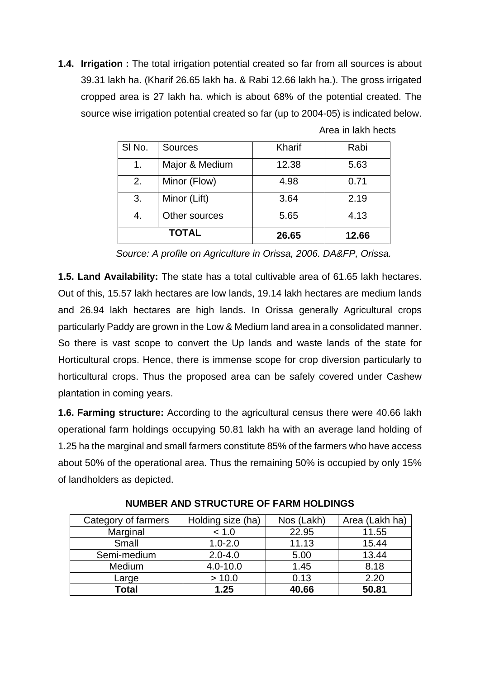**1.4. Irrigation :** The total irrigation potential created so far from all sources is about 39.31 lakh ha. (Kharif 26.65 lakh ha. & Rabi 12.66 lakh ha.). The gross irrigated cropped area is 27 lakh ha. which is about 68% of the potential created. The source wise irrigation potential created so far (up to 2004-05) is indicated below.

| SI No. | <b>Sources</b> | Kharif | Rabi  |
|--------|----------------|--------|-------|
| 1.     | Major & Medium | 12.38  | 5.63  |
| 2.     | Minor (Flow)   | 4.98   | 0.71  |
| 3.     | Minor (Lift)   | 3.64   | 2.19  |
| 4.     | Other sources  | 5.65   | 4.13  |
|        | <b>TOTAL</b>   | 26.65  | 12.66 |

Area in lakh hects

*Source: A profile on Agriculture in Orissa, 2006. DA&FP, Orissa.*

**1.5. Land Availability:** The state has a total cultivable area of 61.65 lakh hectares. Out of this, 15.57 lakh hectares are low lands, 19.14 lakh hectares are medium lands and 26.94 lakh hectares are high lands. In Orissa generally Agricultural crops particularly Paddy are grown in the Low & Medium land area in a consolidated manner. So there is vast scope to convert the Up lands and waste lands of the state for Horticultural crops. Hence, there is immense scope for crop diversion particularly to horticultural crops. Thus the proposed area can be safely covered under Cashew plantation in coming years.

**1.6. Farming structure:** According to the agricultural census there were 40.66 lakh operational farm holdings occupying 50.81 lakh ha with an average land holding of 1.25 ha the marginal and small farmers constitute 85% of the farmers who have access about 50% of the operational area. Thus the remaining 50% is occupied by only 15% of landholders as depicted.

| Category of farmers | Holding size (ha) | Nos (Lakh) | Area (Lakh ha) |
|---------------------|-------------------|------------|----------------|
| Marginal            | < 1.0             | 22.95      | 11.55          |
| Small               | $1.0 - 2.0$       | 11.13      | 15.44          |
| Semi-medium         | $2.0 - 4.0$       | 5.00       | 13.44          |
| Medium              | $4.0 - 10.0$      | 1.45       | 8.18           |
| Large               | > 10.0            | 0.13       | 2.20           |
| Total               | 1.25              | 40.66      | 50.81          |

**NUMBER AND STRUCTURE OF FARM HOLDINGS**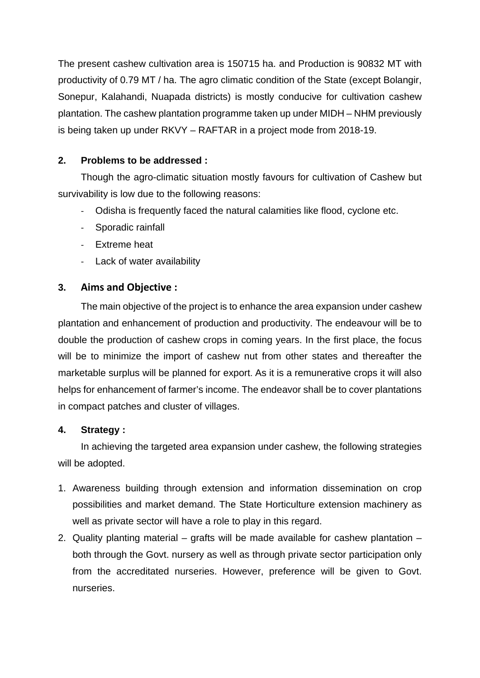The present cashew cultivation area is 150715 ha. and Production is 90832 MT with productivity of 0.79 MT / ha. The agro climatic condition of the State (except Bolangir, Sonepur, Kalahandi, Nuapada districts) is mostly conducive for cultivation cashew plantation. The cashew plantation programme taken up under MIDH – NHM previously is being taken up under RKVY – RAFTAR in a project mode from 2018-19.

## **2. Problems to be addressed :**

Though the agro-climatic situation mostly favours for cultivation of Cashew but survivability is low due to the following reasons:

- ‐ Odisha is frequently faced the natural calamities like flood, cyclone etc.
- ‐ Sporadic rainfall
- ‐ Extreme heat
- ‐ Lack of water availability

### **3. Aims and Objective :**

The main objective of the project is to enhance the area expansion under cashew plantation and enhancement of production and productivity. The endeavour will be to double the production of cashew crops in coming years. In the first place, the focus will be to minimize the import of cashew nut from other states and thereafter the marketable surplus will be planned for export. As it is a remunerative crops it will also helps for enhancement of farmer's income. The endeavor shall be to cover plantations in compact patches and cluster of villages.

#### **4. Strategy :**

In achieving the targeted area expansion under cashew, the following strategies will be adopted.

- 1. Awareness building through extension and information dissemination on crop possibilities and market demand. The State Horticulture extension machinery as well as private sector will have a role to play in this regard.
- 2. Quality planting material grafts will be made available for cashew plantation both through the Govt. nursery as well as through private sector participation only from the accreditated nurseries. However, preference will be given to Govt. nurseries.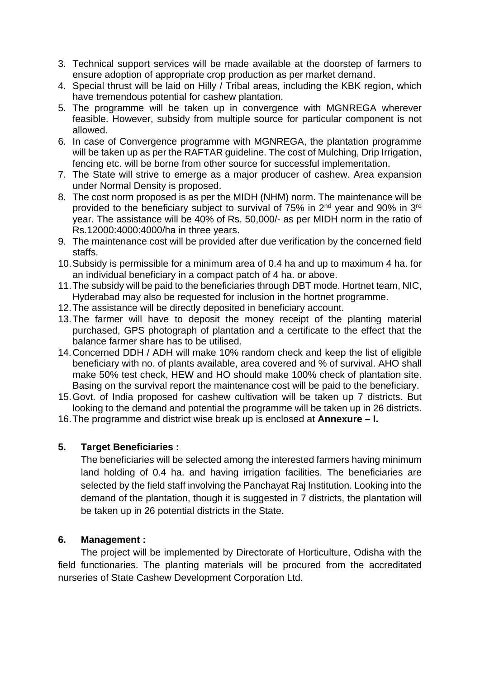- 3. Technical support services will be made available at the doorstep of farmers to ensure adoption of appropriate crop production as per market demand.
- 4. Special thrust will be laid on Hilly / Tribal areas, including the KBK region, which have tremendous potential for cashew plantation.
- 5. The programme will be taken up in convergence with MGNREGA wherever feasible. However, subsidy from multiple source for particular component is not allowed.
- 6. In case of Convergence programme with MGNREGA, the plantation programme will be taken up as per the RAFTAR guideline. The cost of Mulching, Drip Irrigation, fencing etc. will be borne from other source for successful implementation.
- 7. The State will strive to emerge as a major producer of cashew. Area expansion under Normal Density is proposed.
- 8. The cost norm proposed is as per the MIDH (NHM) norm. The maintenance will be provided to the beneficiary subject to survival of 75% in 2nd year and 90% in 3rd year. The assistance will be 40% of Rs. 50,000/- as per MIDH norm in the ratio of Rs.12000:4000:4000/ha in three years.
- 9. The maintenance cost will be provided after due verification by the concerned field staffs.
- 10. Subsidy is permissible for a minimum area of 0.4 ha and up to maximum 4 ha. for an individual beneficiary in a compact patch of 4 ha. or above.
- 11. The subsidy will be paid to the beneficiaries through DBT mode. Hortnet team, NIC, Hyderabad may also be requested for inclusion in the hortnet programme.
- 12. The assistance will be directly deposited in beneficiary account.
- 13. The farmer will have to deposit the money receipt of the planting material purchased, GPS photograph of plantation and a certificate to the effect that the balance farmer share has to be utilised.
- 14. Concerned DDH / ADH will make 10% random check and keep the list of eligible beneficiary with no. of plants available, area covered and % of survival. AHO shall make 50% test check, HEW and HO should make 100% check of plantation site. Basing on the survival report the maintenance cost will be paid to the beneficiary.
- 15. Govt. of India proposed for cashew cultivation will be taken up 7 districts. But looking to the demand and potential the programme will be taken up in 26 districts.
- 16. The programme and district wise break up is enclosed at **Annexure I.**

#### **5. Target Beneficiaries :**

The beneficiaries will be selected among the interested farmers having minimum land holding of 0.4 ha. and having irrigation facilities. The beneficiaries are selected by the field staff involving the Panchayat Raj Institution. Looking into the demand of the plantation, though it is suggested in 7 districts, the plantation will be taken up in 26 potential districts in the State.

#### **6. Management :**

The project will be implemented by Directorate of Horticulture, Odisha with the field functionaries. The planting materials will be procured from the accreditated nurseries of State Cashew Development Corporation Ltd.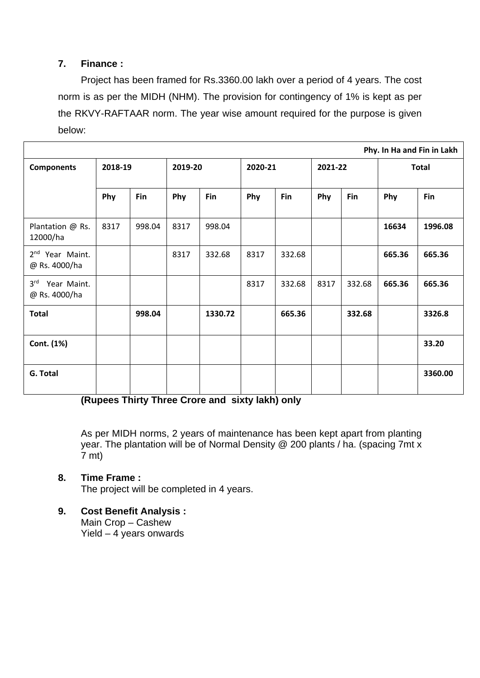### **7. Finance :**

Project has been framed for Rs.3360.00 lakh over a period of 4 years. The cost norm is as per the MIDH (NHM). The provision for contingency of 1% is kept as per the RKVY-RAFTAAR norm. The year wise amount required for the purpose is given below:

| Phy. In Ha and Fin in Lakh                      |         |        |         |         |         |        |         |        |              |         |
|-------------------------------------------------|---------|--------|---------|---------|---------|--------|---------|--------|--------------|---------|
| <b>Components</b>                               | 2018-19 |        | 2019-20 |         | 2020-21 |        | 2021-22 |        | <b>Total</b> |         |
|                                                 | Phy     | Fin    | Phy     | Fin     | Phy     | Fin    | Phy     | Fin    | Phy          | Fin     |
| Plantation @ Rs.<br>12000/ha                    | 8317    | 998.04 | 8317    | 998.04  |         |        |         |        | 16634        | 1996.08 |
| 2 <sup>nd</sup> Year Maint.<br>@ Rs. 4000/ha    |         |        | 8317    | 332.68  | 8317    | 332.68 |         |        | 665.36       | 665.36  |
| 3 <sup>rd</sup><br>Year Maint.<br>@ Rs. 4000/ha |         |        |         |         | 8317    | 332.68 | 8317    | 332.68 | 665.36       | 665.36  |
| <b>Total</b>                                    |         | 998.04 |         | 1330.72 |         | 665.36 |         | 332.68 |              | 3326.8  |
| Cont. (1%)                                      |         |        |         |         |         |        |         |        |              | 33.20   |
| G. Total                                        |         |        |         |         |         |        |         |        |              | 3360.00 |

**(Rupees Thirty Three Crore and sixty lakh) only** 

As per MIDH norms, 2 years of maintenance has been kept apart from planting year. The plantation will be of Normal Density @ 200 plants / ha. (spacing 7mt x  $7$  mt)

## **8. Time Frame :**

The project will be completed in 4 years.

**9. Cost Benefit Analysis :**  Main Crop – Cashew

Yield – 4 years onwards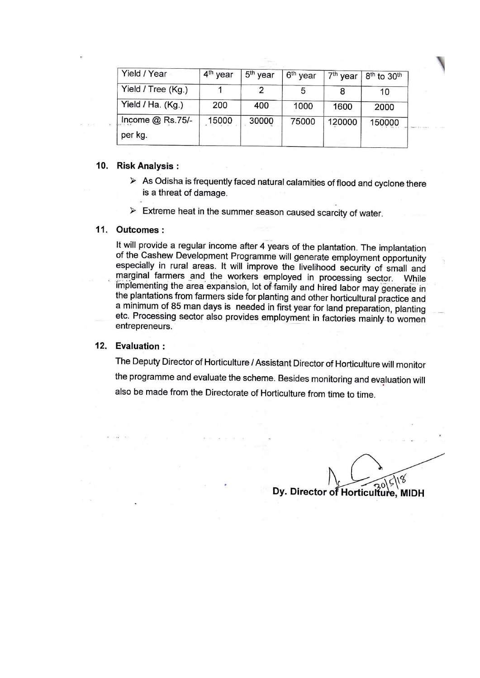| Yield / Year                  | 4 <sup>th</sup> year | 5 <sup>th</sup> year | 6 <sup>th</sup> year | $7th$ year | 8 <sup>th</sup> to 30 <sup>th</sup> |
|-------------------------------|----------------------|----------------------|----------------------|------------|-------------------------------------|
| Yield / Tree (Kg.)            |                      |                      |                      | 8          | 10                                  |
| Yield / Ha. (Kg.)             | 200                  | 400                  | 1000                 | 1600       | 2000                                |
| Income $@$ Rs.75/-<br>per kg. | 15000                | 30000                | 75000                | 120000     | 150000                              |

#### 10. Risk Analysis:

- $\triangleright$  As Odisha is frequently faced natural calamities of flood and cyclone there is a threat of damage.
- $\triangleright$  Extreme heat in the summer season caused scarcity of water.

#### 11. Outcomes:

It will provide a regular income after 4 years of the plantation. The implantation of the Cashew Development Programme will generate employment opportunity especially in rural areas. It will improve the livelihood security of small and marginal farmers and the workers employed in processing sector. While implementing the area expansion, lot of family and hired labor may generate in the plantations from farmers side for planting and other horticultural practice and a minimum of 85 man days is needed in first year for land preparation, planting etc. Processing sector also provides employment in factories mainly to women entrepreneurs.

#### 12. Evaluation:

The Deputy Director of Horticulture / Assistant Director of Horticulture will monitor the programme and evaluate the scheme. Besides monitoring and evaluation will also be made from the Directorate of Horticulture from time to time.

18 C

Dy. Director of Horticulfure, MIDH